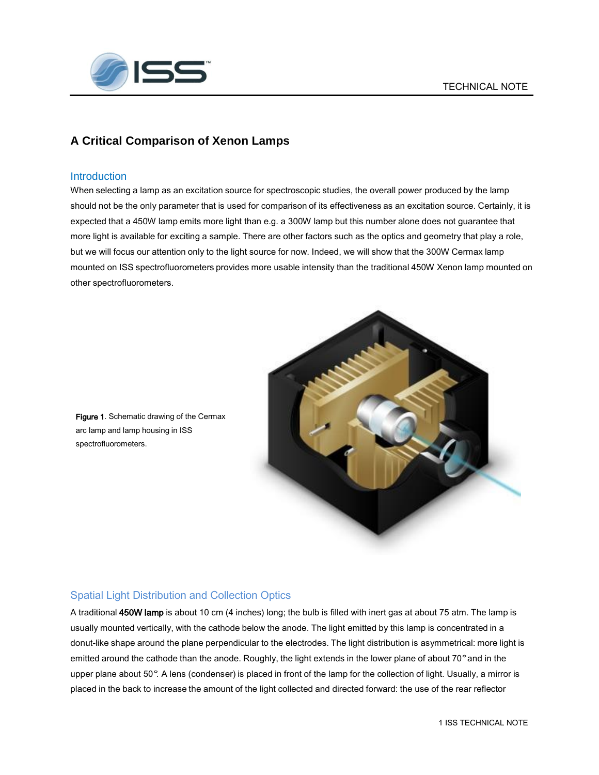

### **A Critical Comparison of Xenon Lamps**

#### **Introduction**

When selecting a lamp as an excitation source for spectroscopic studies, the overall power produced by the lamp should not be the only parameter that is used for comparison of its effectiveness as an excitation source. Certainly, it is expected that a 450W lamp emits more light than e.g. a 300W lamp but this number alone does not guarantee that more light is available for exciting a sample. There are other factors such as the optics and geometry that play a role, but we will focus our attention only to the light source for now. Indeed, we will show that the 300W Cermax lamp mounted on ISS spectrofluorometers provides more usable intensity than the traditional 450W Xenon lamp mounted on other spectrofluorometers.



Figure 1. Schematic drawing of the Cermax arc lamp and lamp housing in ISS spectrofluorometers.

### Spatial Light Distribution and Collection Optics

A traditional 450W lamp is about 10 cm (4 inches) long; the bulb is filled with inert gas at about 75 atm. The lamp is usually mounted vertically, with the cathode below the anode. The light emitted by this lamp is concentrated in a donut-like shape around the plane perpendicular to the electrodes. The light distribution is asymmetrical: more light is emitted around the cathode than the anode. Roughly, the light extends in the lower plane of about 70° and in the upper plane about <sup>50</sup>°. <sup>A</sup> lens (condenser) is placed in front of the lamp for the collection of light. Usually, a mirror is placed in the back to increase the amount of the light collected and directed forward: the use of the rear reflector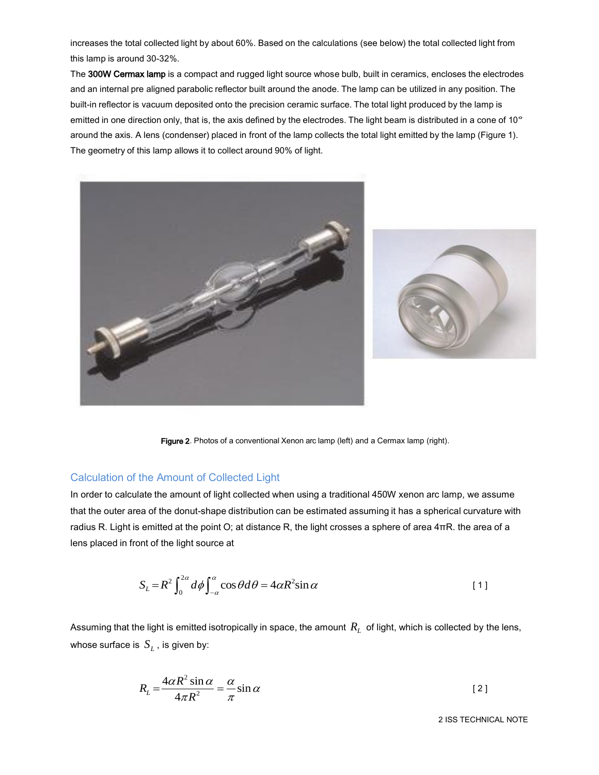increases the total collected light by about 60%. Based on the calculations (see below) the total collected light from this lamp is around 30-32%.

The 300W Cermax lamp is a compact and rugged light source whose bulb, built in ceramics, encloses the electrodes and an internal pre aligned parabolic reflector built around the anode. The lamp can be utilized in any position. The built-in reflector is vacuum deposited onto the precision ceramic surface. The total light produced by the lamp is emitted in one direction only, that is, the axis defined by the electrodes. The light beam is distributed in a cone of 10° around the axis. A lens (condenser) placed in front of the lamp collects the total light emitted by the lamp (Figure 1). The geometry of this lamp allows it to collect around 90% of light.



Figure 2. Photos of a conventional Xenon arc lamp (left) and a Cermax lamp (right).

#### Calculation of the Amount of Collected Light

In order to calculate the amount of light collected when using a traditional 450W xenon arc lamp, we assume that the outer area of the donut-shape distribution can be estimated assuming it has a spherical curvature with radius R. Light is emitted at the point O; at distance R, the light crosses a sphere of area  $4πR$ . the area of a lens placed in front of the light source at

$$
S_L = R^2 \int_0^{2\alpha} d\phi \int_{-\alpha}^{\alpha} \cos \theta d\theta = 4\alpha R^2 \sin \alpha
$$
 [1]

Assuming that the light is emitted isotropically in space, the amount  $\,R_{_L}\,$  of light, which is collected by the lens, whose surface is  $\,S_{_L}^{}\,$  , is given by:

$$
R_L = \frac{4\alpha R^2 \sin \alpha}{4\pi R^2} = \frac{\alpha}{\pi} \sin \alpha
$$
 [2]

2 ISS TECHNICAL NOTE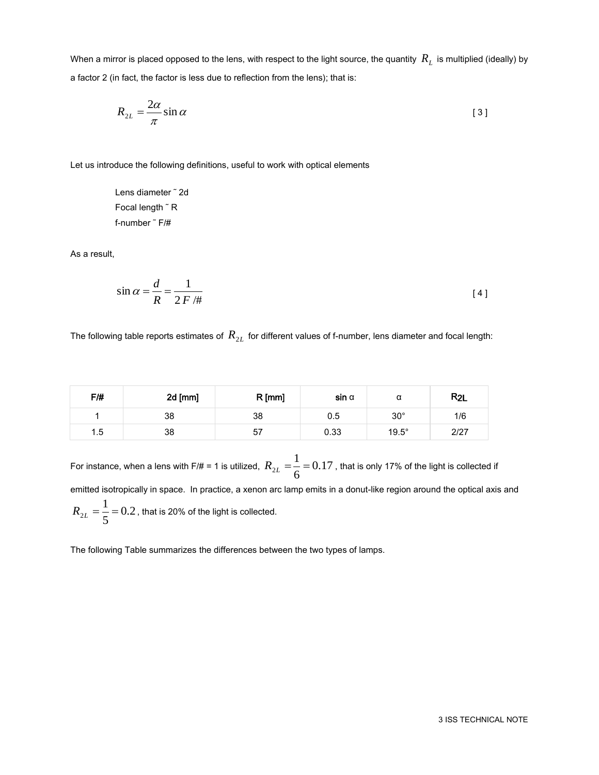When a mirror is placed opposed to the lens, with respect to the light source, the quantity  $\,R_{_L}$  is multiplied (ideally) by a factor 2 (in fact, the factor is less due to reflection from the lens); that is:

$$
R_{2L} = \frac{2\alpha}{\pi} \sin \alpha \tag{3}
$$

Let us introduce the following definitions, useful to work with optical elements

Lens diameter ˜ 2d Focal length ˜ R f-number ˜ F/#

As a result,

$$
\sin \alpha = \frac{d}{R} = \frac{1}{2F/\#}
$$

The following table reports estimates of  $\,R_{2L}^{}$  for different values of f-number, lens diameter and focal length:

| F/H | 2d [mm] | $R$ [mm] | $sin \alpha$ |              | $R_{2L}$ |
|-----|---------|----------|--------------|--------------|----------|
|     | 38      | 38       | 0.5          | $30^\circ$   | 1/6      |
| 1.5 | 38      | 57       | 0.33         | $19.5^\circ$ | 2/27     |

For instance, when a lens with F/# = 1 is utilized,  $R_{2L} = \frac{1}{2} = 0.17$ 6  $R_{2L} = \frac{1}{\epsilon} = 0.17$  , that is only 17% of the light is collected if emitted isotropically in space. In practice, a xenon arc lamp emits in a donut-like region around the optical axis and 0.2 5  $R^{\,}_{2L} = \frac{1}{\varepsilon}$   $= 0.2$  , that is 20% of the light is collected.

The following Table summarizes the differences between the two types of lamps.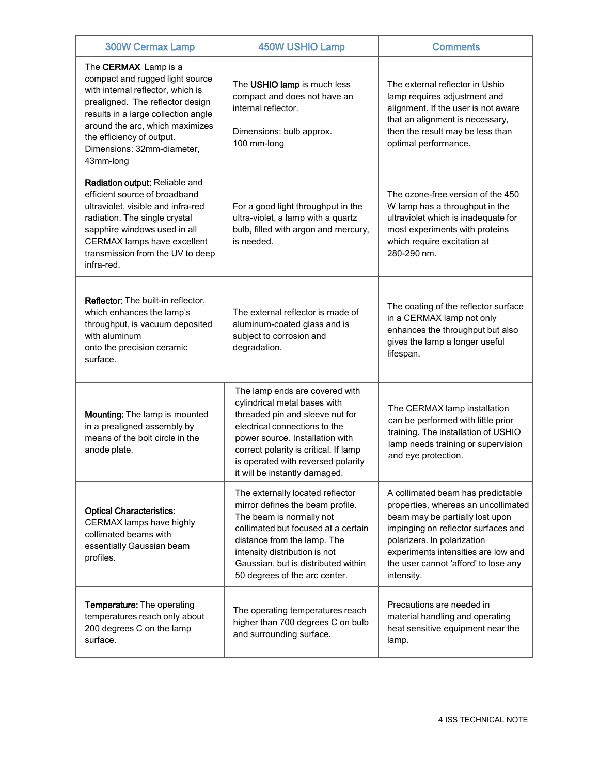| <b>300W Cermax Lamp</b>                                                                                                                                                                                                                                                                   | <b>450W USHIO Lamp</b>                                                                                                                                                                                                                                                                | <b>Comments</b>                                                                                                                                                                                                                                                                |
|-------------------------------------------------------------------------------------------------------------------------------------------------------------------------------------------------------------------------------------------------------------------------------------------|---------------------------------------------------------------------------------------------------------------------------------------------------------------------------------------------------------------------------------------------------------------------------------------|--------------------------------------------------------------------------------------------------------------------------------------------------------------------------------------------------------------------------------------------------------------------------------|
| The <b>CERMAX</b> Lamp is a<br>compact and rugged light source<br>with internal reflector, which is<br>prealigned. The reflector design<br>results in a large collection angle<br>around the arc, which maximizes<br>the efficiency of output.<br>Dimensions: 32mm-diameter,<br>43mm-long | The USHIO lamp is much less<br>compact and does not have an<br>internal reflector.<br>Dimensions: bulb approx.<br>100 mm-long                                                                                                                                                         | The external reflector in Ushio<br>lamp requires adjustment and<br>alignment. If the user is not aware<br>that an alignment is necessary,<br>then the result may be less than<br>optimal performance.                                                                          |
| Radiation output: Reliable and<br>efficient source of broadband<br>ultraviolet, visible and infra-red<br>radiation. The single crystal<br>sapphire windows used in all<br>CERMAX lamps have excellent<br>transmission from the UV to deep<br>infra-red.                                   | For a good light throughput in the<br>ultra-violet, a lamp with a quartz<br>bulb, filled with argon and mercury,<br>is needed.                                                                                                                                                        | The ozone-free version of the 450<br>W lamp has a throughput in the<br>ultraviolet which is inadequate for<br>most experiments with proteins<br>which require excitation at<br>280-290 nm.                                                                                     |
| Reflector: The built-in reflector,<br>which enhances the lamp's<br>throughput, is vacuum deposited<br>with aluminum<br>onto the precision ceramic<br>surface.                                                                                                                             | The external reflector is made of<br>aluminum-coated glass and is<br>subject to corrosion and<br>degradation.                                                                                                                                                                         | The coating of the reflector surface<br>in a CERMAX lamp not only<br>enhances the throughput but also<br>gives the lamp a longer useful<br>lifespan.                                                                                                                           |
| Mounting: The lamp is mounted<br>in a prealigned assembly by<br>means of the bolt circle in the<br>anode plate.                                                                                                                                                                           | The lamp ends are covered with<br>cylindrical metal bases with<br>threaded pin and sleeve nut for<br>electrical connections to the<br>power source. Installation with<br>correct polarity is critical. If lamp<br>is operated with reversed polarity<br>it will be instantly damaged. | The CERMAX lamp installation<br>can be performed with little prior<br>training. The installation of USHIO<br>lamp needs training or supervision<br>and eye protection.                                                                                                         |
| <b>Optical Characteristics:</b><br>CERMAX lamps have highly<br>collimated beams with<br>essentially Gaussian beam<br>profiles.                                                                                                                                                            | The externally located reflector<br>mirror defines the beam profile.<br>The beam is normally not<br>collimated but focused at a certain<br>distance from the lamp. The<br>intensity distribution is not<br>Gaussian, but is distributed within<br>50 degrees of the arc center.       | A collimated beam has predictable<br>properties, whereas an uncollimated<br>beam may be partially lost upon<br>impinging on reflector surfaces and<br>polarizers. In polarization<br>experiments intensities are low and<br>the user cannot 'afford' to lose any<br>intensity. |
| Temperature: The operating<br>temperatures reach only about<br>200 degrees C on the lamp<br>surface.                                                                                                                                                                                      | The operating temperatures reach<br>higher than 700 degrees C on bulb<br>and surrounding surface.                                                                                                                                                                                     | Precautions are needed in<br>material handling and operating<br>heat sensitive equipment near the<br>lamp.                                                                                                                                                                     |